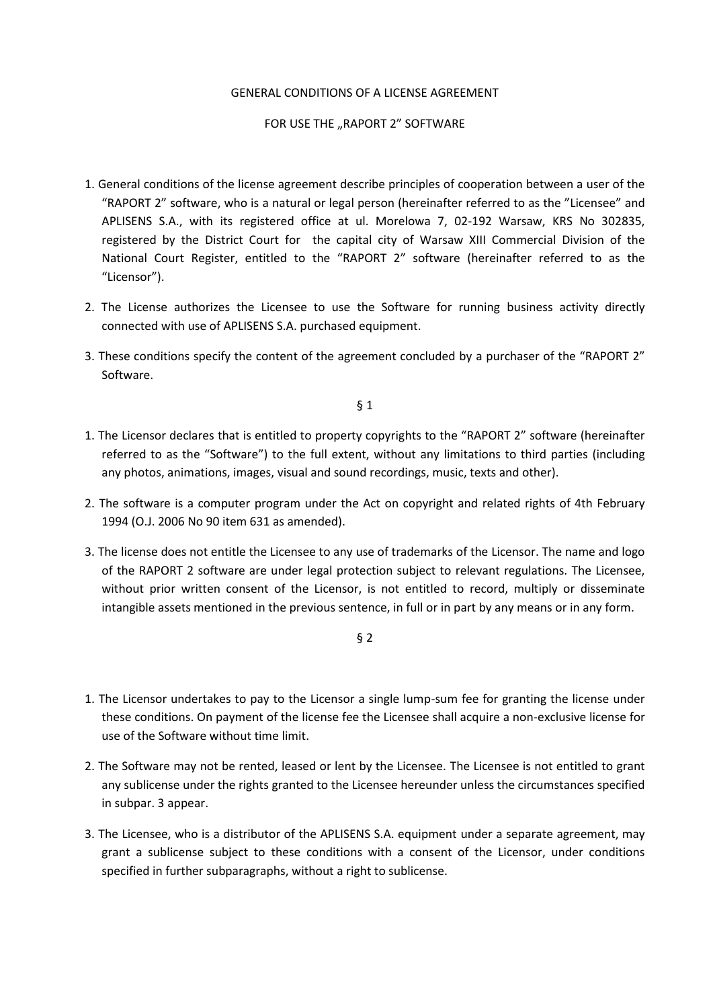## GENERAL CONDITIONS OF A LICENSE AGREEMENT

## FOR USE THE "RAPORT 2" SOFTWARE

- 1. General conditions of the license agreement describe principles of cooperation between a user of the "RAPORT 2" software, who is a natural or legal person (hereinafter referred to as the "Licensee" and APLISENS S.A., with its registered office at ul. Morelowa 7, 02-192 Warsaw, KRS No 302835, registered by the District Court for the capital city of Warsaw XIII Commercial Division of the National Court Register, entitled to the "RAPORT 2" software (hereinafter referred to as the "Licensor").
- 2. The License authorizes the Licensee to use the Software for running business activity directly connected with use of APLISENS S.A. purchased equipment.
- 3. These conditions specify the content of the agreement concluded by a purchaser of the "RAPORT 2" Software.

§ 1

- 1. The Licensor declares that is entitled to property copyrights to the "RAPORT 2" software (hereinafter referred to as the "Software") to the full extent, without any limitations to third parties (including any photos, animations, images, visual and sound recordings, music, texts and other).
- 2. The software is a computer program under the Act on copyright and related rights of 4th February 1994 (O.J. 2006 No 90 item 631 as amended).
- 3. The license does not entitle the Licensee to any use of trademarks of the Licensor. The name and logo of the RAPORT 2 software are under legal protection subject to relevant regulations. The Licensee, without prior written consent of the Licensor, is not entitled to record, multiply or disseminate intangible assets mentioned in the previous sentence, in full or in part by any means or in any form.

§ 2

- 1. The Licensor undertakes to pay to the Licensor a single lump-sum fee for granting the license under these conditions. On payment of the license fee the Licensee shall acquire a non-exclusive license for use of the Software without time limit.
- 2. The Software may not be rented, leased or lent by the Licensee. The Licensee is not entitled to grant any sublicense under the rights granted to the Licensee hereunder unless the circumstances specified in subpar. 3 appear.
- 3. The Licensee, who is a distributor of the APLISENS S.A. equipment under a separate agreement, may grant a sublicense subject to these conditions with a consent of the Licensor, under conditions specified in further subparagraphs, without a right to sublicense.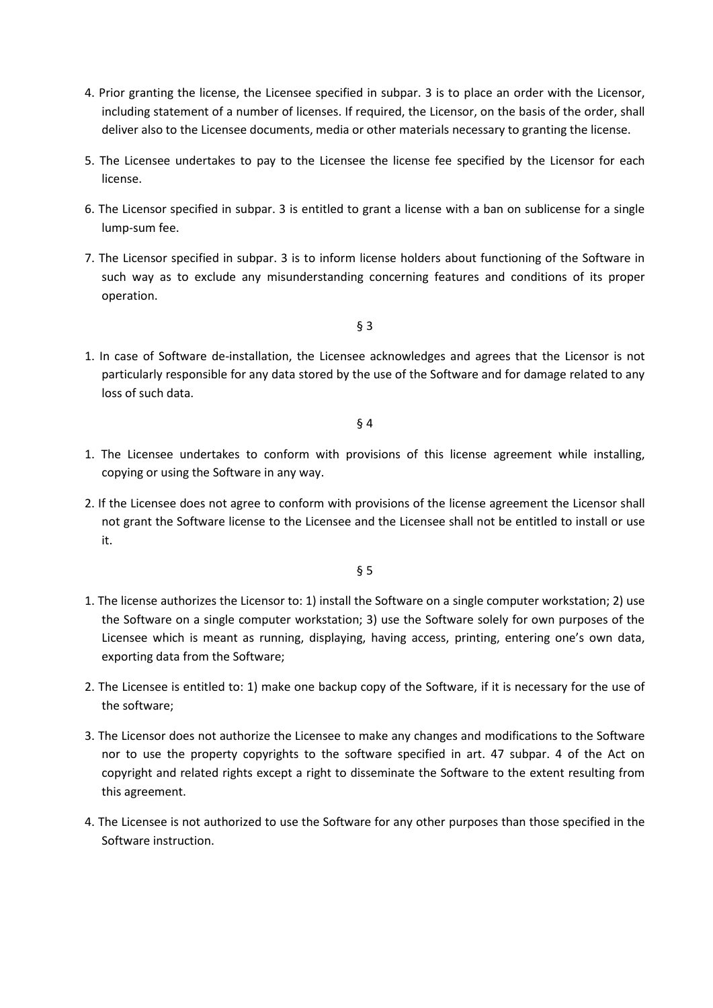- 4. Prior granting the license, the Licensee specified in subpar. 3 is to place an order with the Licensor, including statement of a number of licenses. If required, the Licensor, on the basis of the order, shall deliver also to the Licensee documents, media or other materials necessary to granting the license.
- 5. The Licensee undertakes to pay to the Licensee the license fee specified by the Licensor for each license.
- 6. The Licensor specified in subpar. 3 is entitled to grant a license with a ban on sublicense for a single lump-sum fee.
- 7. The Licensor specified in subpar. 3 is to inform license holders about functioning of the Software in such way as to exclude any misunderstanding concerning features and conditions of its proper operation.

§ 3

1. In case of Software de-installation, the Licensee acknowledges and agrees that the Licensor is not particularly responsible for any data stored by the use of the Software and for damage related to any loss of such data.

§ 4

- 1. The Licensee undertakes to conform with provisions of this license agreement while installing, copying or using the Software in any way.
- 2. If the Licensee does not agree to conform with provisions of the license agreement the Licensor shall not grant the Software license to the Licensee and the Licensee shall not be entitled to install or use it.

§ 5

- 1. The license authorizes the Licensor to: 1) install the Software on a single computer workstation; 2) use the Software on a single computer workstation; 3) use the Software solely for own purposes of the Licensee which is meant as running, displaying, having access, printing, entering one's own data, exporting data from the Software;
- 2. The Licensee is entitled to: 1) make one backup copy of the Software, if it is necessary for the use of the software;
- 3. The Licensor does not authorize the Licensee to make any changes and modifications to the Software nor to use the property copyrights to the software specified in art. 47 subpar. 4 of the Act on copyright and related rights except a right to disseminate the Software to the extent resulting from this agreement.
- 4. The Licensee is not authorized to use the Software for any other purposes than those specified in the Software instruction.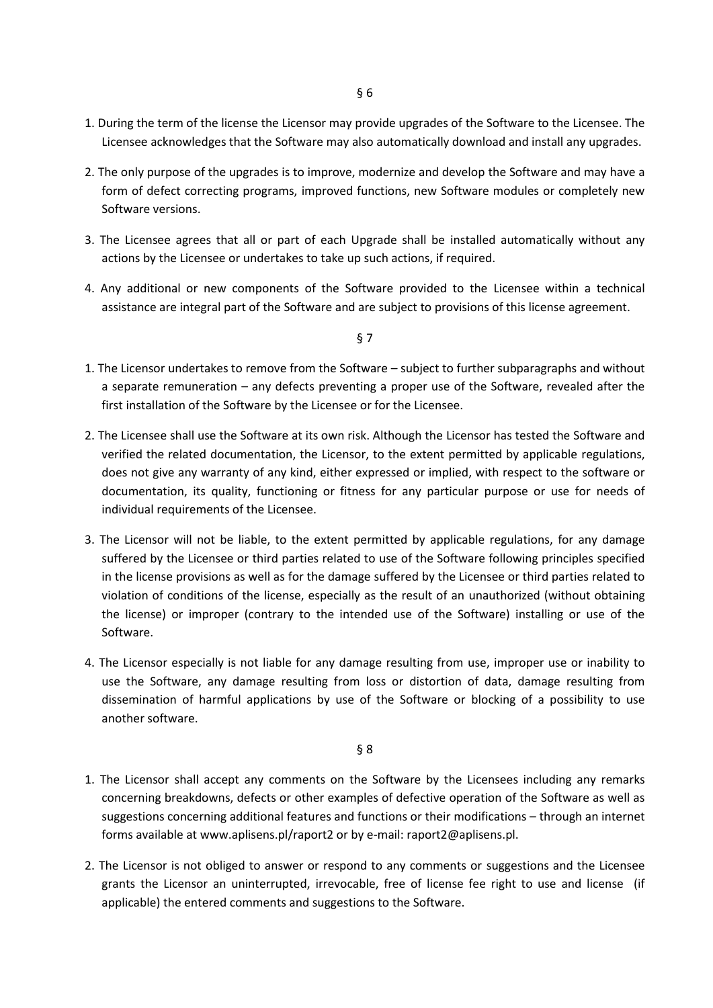- 1. During the term of the license the Licensor may provide upgrades of the Software to the Licensee. The Licensee acknowledges that the Software may also automatically download and install any upgrades.
- 2. The only purpose of the upgrades is to improve, modernize and develop the Software and may have a form of defect correcting programs, improved functions, new Software modules or completely new Software versions.
- 3. The Licensee agrees that all or part of each Upgrade shall be installed automatically without any actions by the Licensee or undertakes to take up such actions, if required.
- 4. Any additional or new components of the Software provided to the Licensee within a technical assistance are integral part of the Software and are subject to provisions of this license agreement.

§ 7

- 1. The Licensor undertakes to remove from the Software subject to further subparagraphs and without a separate remuneration – any defects preventing a proper use of the Software, revealed after the first installation of the Software by the Licensee or for the Licensee.
- 2. The Licensee shall use the Software at its own risk. Although the Licensor has tested the Software and verified the related documentation, the Licensor, to the extent permitted by applicable regulations, does not give any warranty of any kind, either expressed or implied, with respect to the software or documentation, its quality, functioning or fitness for any particular purpose or use for needs of individual requirements of the Licensee.
- 3. The Licensor will not be liable, to the extent permitted by applicable regulations, for any damage suffered by the Licensee or third parties related to use of the Software following principles specified in the license provisions as well as for the damage suffered by the Licensee or third parties related to violation of conditions of the license, especially as the result of an unauthorized (without obtaining the license) or improper (contrary to the intended use of the Software) installing or use of the Software.
- 4. The Licensor especially is not liable for any damage resulting from use, improper use or inability to use the Software, any damage resulting from loss or distortion of data, damage resulting from dissemination of harmful applications by use of the Software or blocking of a possibility to use another software.

§ 8

- 1. The Licensor shall accept any comments on the Software by the Licensees including any remarks concerning breakdowns, defects or other examples of defective operation of the Software as well as suggestions concerning additional features and functions or their modifications – through an internet forms available at www.aplisens.pl/raport2 or by e-mail: raport2@aplisens.pl.
- 2. The Licensor is not obliged to answer or respond to any comments or suggestions and the Licensee grants the Licensor an uninterrupted, irrevocable, free of license fee right to use and license (if applicable) the entered comments and suggestions to the Software.